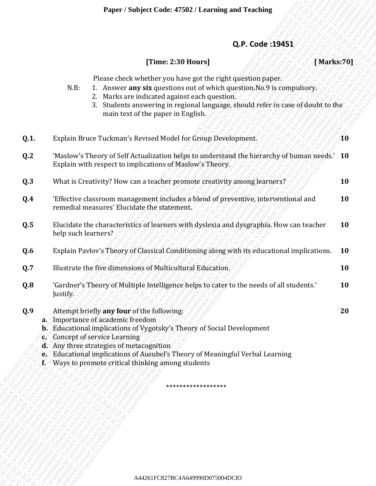## **Q.P. Code :19451**

## **[Time: 2:30 Hours] [ Marks:70]**

- N.B: 1. Answer **any six** questions out of which question.No.9 is compulsory.
	- 2. Marks are indicated against each question.
	- 3. Students answering in regional language, should refer in case of doubt to the main text of the paper in English.

|                           | Q.P. Code: 19451<br>[Time: 2:30 Hours]<br>[Marks:70]                                                                                                                                                                                                                                                                                                                                |           |
|---------------------------|-------------------------------------------------------------------------------------------------------------------------------------------------------------------------------------------------------------------------------------------------------------------------------------------------------------------------------------------------------------------------------------|-----------|
|                           | Please check whether you have got the right question paper.<br>1. Answer any six questions out of which question. No. 9 is compulsory.<br>N.B:<br>2. Marks are indicated against each question.<br>3. Students answering in regional language, should refer in case of doubt to the<br>main text of the paper in English.                                                           |           |
| Q.1.                      | Explain Bruce Tuckman's Revised Model for Group Development.                                                                                                                                                                                                                                                                                                                        | <b>AO</b> |
| Q.2                       | 'Maslow's Theory of Self Actualization helps to understand the hierarchy of human needs.' 10<br>Explain with respect to implications of Maslow's Theory.                                                                                                                                                                                                                            |           |
| Q.3                       | What is Creativity? How can a teacher promote creativity among learners?                                                                                                                                                                                                                                                                                                            | 10        |
| Q.4                       | 'Effective classroom management includes a blend of preventive, interventional and<br>remedial measures' Elucidate the statement.                                                                                                                                                                                                                                                   | 10        |
| Q.5                       | Elucidate the characteristics of learners with dyslexia and dysgraphia. How can teacher<br>help such learners?                                                                                                                                                                                                                                                                      | <b>10</b> |
| Q.6                       | Explain Pavlov's Theory of Classical Conditioning along with its educational implications.                                                                                                                                                                                                                                                                                          | <b>10</b> |
| Q.7                       | Illustrate the five dimensions of Multicultural Education.                                                                                                                                                                                                                                                                                                                          | 10        |
| Q.8                       | 'Gardner's Theory of Multiple Intelligence helps to cater to the needs of all students.'<br>Justify.                                                                                                                                                                                                                                                                                | 10        |
| Q.9<br>$\mathbf{f}\times$ | Attempt briefly any four of the following:<br>a. Importance of academic freedom<br><b>b.</b> Educational implications of Vygotsky's Theory of Social Development<br>c. Concept of service Learning<br>d. Any three strategies of metacognition<br>e. Educational implications of Ausubel's Theory of Meaningful Verbal Learning<br>Ways to promote critical thinking among students | 20        |
|                           | ******************                                                                                                                                                                                                                                                                                                                                                                  |           |
|                           |                                                                                                                                                                                                                                                                                                                                                                                     |           |
|                           |                                                                                                                                                                                                                                                                                                                                                                                     |           |
|                           |                                                                                                                                                                                                                                                                                                                                                                                     |           |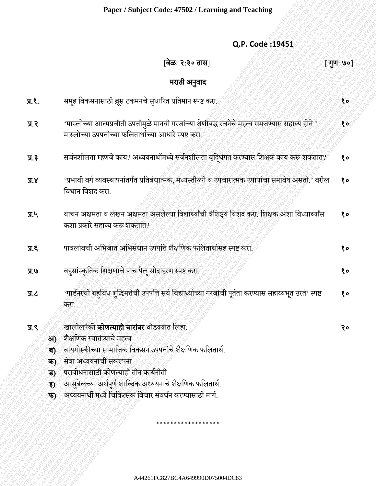| Q.P. Code: 19451 |  |
|------------------|--|
|                  |  |

## A44261FC827BC4A649990D075004DC83A44261FC827BC4A649990D075004DC83A44261FC827BC4A649990D075004DC83A44261FC827BC4A649990D075004DC83A44261FC827BC4A649990D075004DC83A44261FC827BC4A649990D075004DC83 A44261FC827BC4A649990D075004DC83A44261FC827BC4A649990D075004DC83A44261FC827BC4A649990D075004DC83A44261FC827BC4A649990D075004DC83A44261FC827BC4A649990D075004DC83A44261FC827BC4A649990D075004DC83 Q.P. Code 194551<br>  $\frac{1}{2}$  Q.P. Code 194551<br>  $\frac{1}{2}$  Consequences of the consequence of the consequence of the consequence of the consequence of the consequence of the consequence of the consequence of the consequence Appler sampler conce it and a case and a case and  $Q, P$ . Code :19451<br>
(a)  $Q, P$ . Code :19451<br>
(a)  $Q, P$ . Code :19451<br>
(a)  $Q, P$ . Code :19451<br>
(a)  $Q, P$ . Code :19451<br>
(a)  $Q, P$ . Code :19451<br>
(a)  $Q, P$ <br>
(a)  $Q, P$ <br>
(a)  $Q, P$ Flager/Subject Code: 47802/Learning.and Teaching<br>  $Q,P, \text{Code: } 39451$ <br>  $\frac{1}{25}$ <br>  $\frac{1}{25}$ <br>  $\frac{1}{25}$ <br>  $\frac{1}{25}$ <br>  $\frac{1}{25}$ <br>  $\frac{1}{25}$ <br>  $\frac{1}{25}$ <br>  $\frac{1}{25}$ <br>  $\frac{1}{25}$ <br>  $\frac{1}{25}$ <br>  $\frac{1}{25}$ <br>  $\frac{1}{25}$ <br>  $\frac{1}{25$ Experission Code: 47502 / Learning and Feeding<br>
(a, P. Code: 194651<br>
(a) R. C. Correspondently applied after our and<br>
TRA and the matrix of the control of the control of the control of the control of the control of the co Paper / Subject Code: 47542 / Learning and Texture (Paper 29)<br>  $\frac{1}{2}$ <br>  $\frac{1}{2}$ <br>  $\frac{1}{2}$ <br>  $\frac{1}{2}$ <br>  $\frac{1}{2}$ <br>  $\frac{1}{2}$ <br>  $\frac{1}{2}$ <br>  $\frac{1}{2}$ <br>  $\frac{1}{2}$ <br>  $\frac{1}{2}$ <br>  $\frac{1}{2}$ <br>  $\frac{1}{2}$ <br>  $\frac{1}{2}$ <br>  $\frac{1}{2}$ <br>  $\frac{$ Faper / Subject Code: 47942 / Learning and Tending<br>
(a,P. Code :194911<br>
(a) 2, Code :194911<br>
TRE any Secretarial age caused ageles sheller age will<br>
TRE any Secretarial age and the state of the secretarial age of the secr Faper / Subject Code: 47942 / Learning and Tending<br>
(a,P. Code :194911<br>
(a) 2, Code :194911<br>
TRE any Secretarial age caused ageles sheller age will<br>
TRE any Secretarial age and the state of the secretarial age of the secr Faper / Subject Code: 47942 / Learning and Tending<br>
(a,P. Code :194911<br>
(a) 2, Code :194911<br>
TRE any Secretarial age caused ageles sheller age will<br>
TRE any Secretarial age and the state of the secretarial age of the secr Faper / Subject Code: 47942 / Learning and Tending<br>
(a,P. Code :194911<br>
(a) 2, Code :194911<br>
TRE any Secretarial age caused ageles sheller age will<br>
TRE any Secretarial age and the state of the secretarial age of the secr Faper / Subject Code: 47942 / Learning and Tending<br>
(a,P. Code :194911<br>
(a) 2, Code :194911<br>
TRE any Secretarial age caused ageles sheller age will<br>
TRE any Secretarial age and the state of the secretarial age of the secr A44261FC827BC4A649990D075004DC83A44261FC827BC4A649990D075004DC83A44261FC827BC4A649990D075004DC83A44261FC827BC4A649990D075004DC83A44261FC827BC4A649990D075004DC83A44261FC827BC4A649990D075004DC83 A44261FC827BC4A649990D075004DC83A44261FC827BC4A649990D075004DC83A44261FC827BC4A649990D075004DC83A44261FC827BC4A649990D075004DC83A44261FC827BC4A649990D075004DC83A44261FC827BC4A649990D075004DC83 **Example: 7 Sociophet Code 47502 / Learning and Teaching (CAP) Code 19451**<br> **Q.P. Code 19451**<br> **Resp. Facebook of the state of the state of the state of the state of the state of the state of the state of the state of** Paper / Nobject Code: 479027 Learning and Teaching<br>
Q.P. Code: 194551<br>
(Noc 2.3 o BB|<br>
modi supplemented and supplemental and supplemental code and<br>
T.C. angle former results and properties and the set.<br>
T.C. angle of a s Paper / Subject Code: 47882 / Learning and Teaching<br>
(a) P. Code 19451<br>
(a) 26, Code 19451<br>
(a) 27, The property and the street of the street of the street of the street of the street of the street of the street of the st Paper / Subject Code: 47802 / Learning and Teaching<br>
(a) C.P. Code: 19451<br>
(a) C.P. Code: 19451<br>
(a) C.P. Code: 19451<br>
(a) C.P. Code: 19451<br>
(a) C.P. Code: 19451<br>
(a) C.P. Code: 19451<br>
(a) T.C.<br>
T.R. any Reservative appli Paper / Subject Code: 47502 / Learning and Teaching<br>
Q.P. Code :19453<br>  $\frac{1}{3}$  CPF<br>  $\frac{1}{3}$  CPF<br>  $\frac{1}{3}$  CPF<br>  $\frac{1}{3}$  CPF<br>  $\frac{1}{3}$  CPF (and also and is even if grafit a fiber and also also are<br>  $\frac{1}{3}$  CPF (an **Paper / Subject Code: 47502 / Learning and Teaching<br>
CQP . Code: 19451<br>
THE Rectar and Second Repuber of the Second Repuber of the Second Repuber of the Second Repuber of the Second Repuber of the Second Repuber of the S** [वेळ: २:३० तास] [ जिल्ह्या स्थान कर साल कर जिल्ह्या हो गुण: ७०] मराठी अनुवाद **प्र.१. सम्मान्त विकसनासाठी ब्रूस टकमनचे सुधारित प्रतिमान स्पष्ट** करा. १९९९ कर २००९ कर २००९ कर २००९ कर २० प्र.२ 'मास्लोच्या आत्मप्रचीती उपत्तीमळुेमानवी गरजाांच्या श्रेणीबद्ध रचनेचे महत्व समजण्यास सहाय्य होते.' मास्लोच्या उपपत्तीच्या फलितार्थाच्या आधारे स्पष्ट करा. १० प्र.३ सर्जनशीलता म्हणजे काय? अध्ययनार्थीमध्ये सर्जनशीलता वृद्धिंगत करण्यास शिक्षक काय करू शकतात? १०  $\overline{\mathbf{y}}$ .४ 'प्रभावी वर्ग व्यवस्थापनांतर्गत प्रतिबंधात्मक, मध्यस्तीरुपी व उपचारात्मक उपायांचा समावेष असतो.' वरील ववधान ववशद करा. १० प्र.५ वाचन अक्षमता व लेखन अक्षमता असलेल्या विद्यार्थ्यांची वैशिष्ट्ये विशद करा. शिक्षक अशा विध्यार्थ्यांस कशा प्रकारे सहाय्य करू शकतात? १० प्र.६ पावलोवची अवभजात अवभसांधान उपपवत्त शैक्षवणक फवलतार्ाासह स्पष्ट करा. १० प्र.७ बहुसांस्कृतिक शिक्षणाचे पाच पैलू सोदाहरण स्पष्ट करा. ९९% स्थानीय स्थित स्पष्ट करा. १० साल प्र.८ 'गार्डनरची बहुविध बुद्धिमत्तेची उपपत्ति सर्व विद्यार्थ्यांच्या गरजांची पूर्तता करण्यास सहाय्यभूत ठरते' स्पष्ट करा. १० प्र.९ ४ खालीलपैकी **कोणत्याही चारांवर** थोडक्यात लिहा. २००९ का सामना र र २० घटना र २० आ) शैक्षणिक स्वातंत्र्याचे महत्व **ब)** वायगोस्कीच्या सामाजिक विकसन उपपत्तीचे शैक्षणिक फलितार्थ. **क)** सेवा अध्ययनाची संकल्पना ड) पराबोधनासाठी कोणत्याही तीन कार्यनीती  $\widehat{\mathbf{s}}$ ) आसुबेलच्या अर्थपूर्ण शाब्दिक अध्ययनाचे शैक्षणिक फलितार्थ.

फ) अध्ययनार्थी मध्ये चिकित्सक विचार संवर्धन करण्यासाठी मार्ग.

A44261FC827BC4A649990D075004DC83

\*\*\*\*\*\*\*\*\*\*\*\*\*\*\*\*\*\*